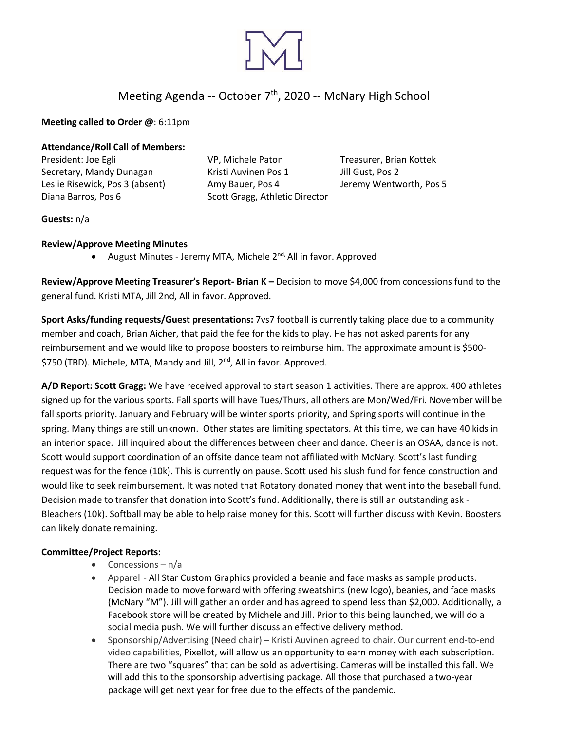

# Meeting Agenda -- October 7<sup>th</sup>, 2020 -- McNary High School

**Meeting called to Order @**: 6:11pm

**Attendance/Roll Call of Members:** 

President: Joe Egli VP, Michele Paton Treasurer, Brian Kottek Secretary, Mandy Dunagan Kristi Auvinen Pos 1 Jill Gust, Pos 2 Leslie Risewick, Pos 3 (absent) Amy Bauer, Pos 4 Jeremy Wentworth, Pos 5 Diana Barros, Pos 6 Scott Gragg, Athletic Director

**Guests:** n/a

### **Review/Approve Meeting Minutes**

• August Minutes - Jeremy MTA, Michele 2<sup>nd,</sup> All in favor. Approved

**Review/Approve Meeting Treasurer's Report- Brian K –** Decision to move \$4,000 from concessions fund to the general fund. Kristi MTA, Jill 2nd, All in favor. Approved.

**Sport Asks/funding requests/Guest presentations:** 7vs7 football is currently taking place due to a community member and coach, Brian Aicher, that paid the fee for the kids to play. He has not asked parents for any reimbursement and we would like to propose boosters to reimburse him. The approximate amount is \$500- \$750 (TBD). Michele, MTA, Mandy and Jill, 2<sup>nd</sup>, All in favor. Approved.

**A/D Report: Scott Gragg:** We have received approval to start season 1 activities. There are approx. 400 athletes signed up for the various sports. Fall sports will have Tues/Thurs, all others are Mon/Wed/Fri. November will be fall sports priority. January and February will be winter sports priority, and Spring sports will continue in the spring. Many things are still unknown. Other states are limiting spectators. At this time, we can have 40 kids in an interior space. Jill inquired about the differences between cheer and dance. Cheer is an OSAA, dance is not. Scott would support coordination of an offsite dance team not affiliated with McNary. Scott's last funding request was for the fence (10k). This is currently on pause. Scott used his slush fund for fence construction and would like to seek reimbursement. It was noted that Rotatory donated money that went into the baseball fund. Decision made to transfer that donation into Scott's fund. Additionally, there is still an outstanding ask - Bleachers (10k). Softball may be able to help raise money for this. Scott will further discuss with Kevin. Boosters can likely donate remaining.

## **Committee/Project Reports:**

- Concessions  $n/a$
- Apparel All Star Custom Graphics provided a beanie and face masks as sample products. Decision made to move forward with offering sweatshirts (new logo), beanies, and face masks (McNary "M"). Jill will gather an order and has agreed to spend less than \$2,000. Additionally, a Facebook store will be created by Michele and Jill. Prior to this being launched, we will do a social media push. We will further discuss an effective delivery method.
- Sponsorship/Advertising (Need chair) Kristi Auvinen agreed to chair. Our current end-to-end video capabilities, Pixellot, will allow us an opportunity to earn money with each subscription. There are two "squares" that can be sold as advertising. Cameras will be installed this fall. We will add this to the sponsorship advertising package. All those that purchased a two-year package will get next year for free due to the effects of the pandemic.